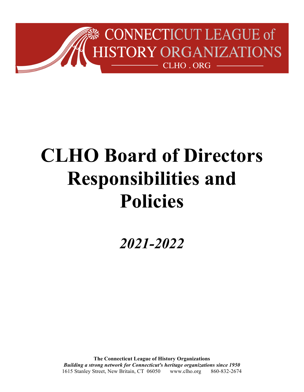

# **CLHO Board of Directors Responsibilities and Policies**

*2021-2022*

**The Connecticut League of History Organizations** *Building a strong network for Connecticut's heritage organizations since 1950* 1615 Stanley Street, New Britain, CT 06050 www.clho.org 860-832-2674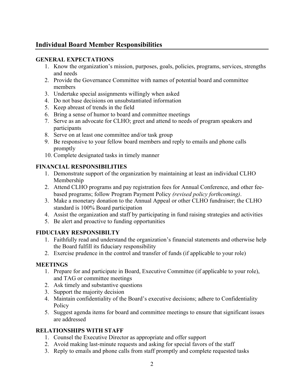# **Individual Board Member Responsibilities**

#### **GENERAL EXPECTATIONS**

- 1. Know the organization's mission, purposes, goals, policies, programs, services, strengths and needs
- 2. Provide the Governance Committee with names of potential board and committee members
- 3. Undertake special assignments willingly when asked
- 4. Do not base decisions on unsubstantiated information
- 5. Keep abreast of trends in the field
- 6. Bring a sense of humor to board and committee meetings
- 7. Serve as an advocate for CLHO; greet and attend to needs of program speakers and participants
- 8. Serve on at least one committee and/or task group
- 9. Be responsive to your fellow board members and reply to emails and phone calls promptly
- 10. Complete designated tasks in timely manner

## **FINANCIAL RESPONSIBILITIES**

- 1. Demonstrate support of the organization by maintaining at least an individual CLHO Membership
- 2. Attend CLHO programs and pay registration fees for Annual Conference, and other feebased programs; follow Program Payment Policy *(revised policy forthcoming)*.
- 3. Make a monetary donation to the Annual Appeal or other CLHO fundraiser; the CLHO standard is 100% Board participation
- 4. Assist the organization and staff by participating in fund raising strategies and activities
- 5. Be alert and proactive to funding opportunities

## **FIDUCIARY RESPONSIBILTY**

- 1. Faithfully read and understand the organization's financial statements and otherwise help the Board fulfill its fiduciary responsibility
- 2. Exercise prudence in the control and transfer of funds (if applicable to your role)

## **MEETINGS**

- 1. Prepare for and participate in Board, Executive Committee (if applicable to your role), and TAG or committee meetings
- 2. Ask timely and substantive questions
- 3. Support the majority decision
- 4. Maintain confidentiality of the Board's executive decisions; adhere to Confidentiality **Policy**
- 5. Suggest agenda items for board and committee meetings to ensure that significant issues are addressed

## **RELATIONSHIPS WITH STAFF**

- 1. Counsel the Executive Director as appropriate and offer support
- 2. Avoid making last-minute requests and asking for special favors of the staff
- 3. Reply to emails and phone calls from staff promptly and complete requested tasks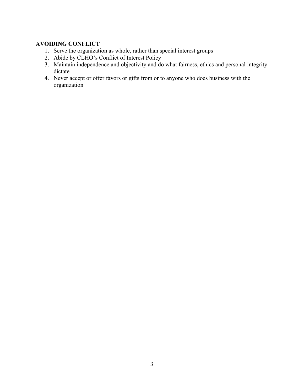## **AVOIDING CONFLICT**

- 1. Serve the organization as whole, rather than special interest groups
- 2. Abide by CLHO's Conflict of Interest Policy
- 3. Maintain independence and objectivity and do what fairness, ethics and personal integrity dictate
- 4. Never accept or offer favors or gifts from or to anyone who does business with the organization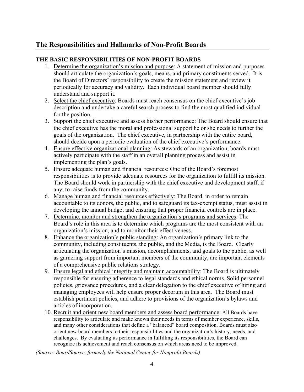# **The Responsibilities and Hallmarks of Non-Profit Boards**

#### **THE BASIC RESPONSIBILITIES OF NON-PROFIT BOARDS**

- 1. Determine the organization's mission and purpose: A statement of mission and purposes should articulate the organization's goals, means, and primary constituents served. It is the Board of Directors' responsibility to create the mission statement and review it periodically for accuracy and validity. Each individual board member should fully understand and support it.
- 2. Select the chief executive: Boards must reach consensus on the chief executive's job description and undertake a careful search process to find the most qualified individual for the position.
- 3. Support the chief executive and assess his/her performance: The Board should ensure that the chief executive has the moral and professional support he or she needs to further the goals of the organization. The chief executive, in partnership with the entire board, should decide upon a periodic evaluation of the chief executive's performance.
- 4. Ensure effective organizational planning: As stewards of an organization, boards must actively participate with the staff in an overall planning process and assist in implementing the plan's goals.
- 5. Ensure adequate human and financial resources: One of the Board's foremost responsibilities is to provide adequate resources for the organization to fulfill its mission. The Board should work in partnership with the chief executive and development staff, if any, to raise funds from the community.
- 6. Manage human and financial resources effectively: The Board, in order to remain accountable to its donors, the public, and to safeguard its tax-exempt status, must assist in developing the annual budget and ensuring that proper financial controls are in place.
- 7. Determine, monitor and strengthen the organization's programs and services: The Board's role in this area is to determine which programs are the most consistent with an organization's mission, and to monitor their effectiveness.
- 8. Enhance the organization's public standing: An organization's primary link to the community, including constituents, the public, and the Media, is the Board. Clearly articulating the organization's mission, accomplishments, and goals to the public, as well as garnering support from important members of the community, are important elements of a comprehensive public relations strategy.
- 9. Ensure legal and ethical integrity and maintain accountability: The Board is ultimately responsible for ensuring adherence to legal standards and ethical norms. Solid personnel policies, grievance procedures, and a clear delegation to the chief executive of hiring and managing employees will help ensure proper decorum in this area. The Board must establish pertinent policies, and adhere to provisions of the organization's bylaws and articles of incorporation.
- 10. Recruit and orient new board members and assess board performance: All Boards have responsibility to articulate and make known their needs in terms of member experience, skills, and many other considerations that define a "balanced" board composition. Boards must also orient new board members to their responsibilities and the organization's history, needs, and challenges. By evaluating its performance in fulfilling its responsibilities, the Board can recognize its achievement and reach consensus on which areas need to be improved.

*(Source: BoardSource, formerly the National Center for Nonprofit Boards)*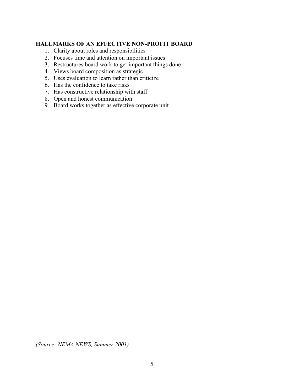#### **HALLMARKS OF AN EFFECTIVE NON-PROFIT BOARD**

- 1. Clarity about roles and responsibilities
- 2. Focuses time and attention on important issues
- 3. Restructures board work to get important things done
- 4. Views board composition as strategic
- 5. Uses evaluation to learn rather than criticize
- 6. Has the confidence to take risks
- 7. Has constructive relationship with staff
- 8. Open and honest communication
- 9. Board works together as effective corporate unit

*(Source: NEMA NEWS, Summer 2001)*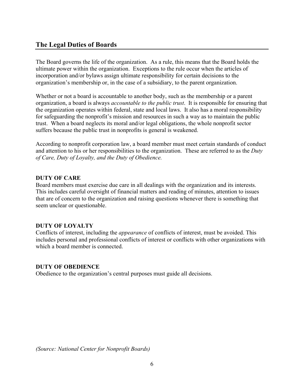## **The Legal Duties of Boards**

The Board governs the life of the organization. As a rule, this means that the Board holds the ultimate power within the organization. Exceptions to the rule occur when the articles of incorporation and/or bylaws assign ultimate responsibility for certain decisions to the organization's membership or, in the case of a subsidiary, to the parent organization.

Whether or not a board is accountable to another body, such as the membership or a parent organization, a board is always *accountable to the public trust*. It is responsible for ensuring that the organization operates within federal, state and local laws. It also has a moral responsibility for safeguarding the nonprofit's mission and resources in such a way as to maintain the public trust. When a board neglects its moral and/or legal obligations, the whole nonprofit sector suffers because the public trust in nonprofits is general is weakened.

According to nonprofit corporation law, a board member must meet certain standards of conduct and attention to his or her responsibilities to the organization. These are referred to as the *Duty of Care, Duty of Loyalty, and the Duty of Obedience.*

#### **DUTY OF CARE**

Board members must exercise due care in all dealings with the organization and its interests. This includes careful oversight of financial matters and reading of minutes, attention to issues that are of concern to the organization and raising questions whenever there is something that seem unclear or questionable.

#### **DUTY OF LOYALTY**

Conflicts of interest, including the *appearance* of conflicts of interest, must be avoided. This includes personal and professional conflicts of interest or conflicts with other organizations with which a board member is connected.

#### **DUTY OF OBEDIENCE**

Obedience to the organization's central purposes must guide all decisions.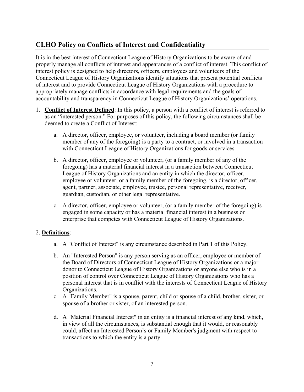# **CLHO Policy on Conflicts of Interest and Confidentiality**

It is in the best interest of Connecticut League of History Organizations to be aware of and properly manage all conflicts of interest and appearances of a conflict of interest. This conflict of interest policy is designed to help directors, officers, employees and volunteers of the Connecticut League of History Organizations identify situations that present potential conflicts of interest and to provide Connecticut League of History Organizations with a procedure to appropriately manage conflicts in accordance with legal requirements and the goals of accountability and transparency in Connecticut League of History Organizations' operations.

- 1. **Conflict of Interest Defined**: In this policy, a person with a conflict of interest is referred to as an "interested person." For purposes of this policy, the following circumstances shall be deemed to create a Conflict of Interest:
	- a. A director, officer, employee, or volunteer, including a board member (or family member of any of the foregoing) is a party to a contract, or involved in a transaction with Connecticut League of History Organizations for goods or services.
	- b. A director, officer, employee or volunteer, (or a family member of any of the foregoing) has a material financial interest in a transaction between Connecticut League of History Organizations and an entity in which the director, officer, employee or volunteer, or a family member of the foregoing, is a director, officer, agent, partner, associate, employee, trustee, personal representative, receiver, guardian, custodian, or other legal representative.
	- c. A director, officer, employee or volunteer, (or a family member of the foregoing) is engaged in some capacity or has a material financial interest in a business or enterprise that competes with Connecticut League of History Organizations.

#### 2. **Definitions**:

- a. A "Conflict of Interest" is any circumstance described in Part 1 of this Policy.
- b. An "Interested Person" is any person serving as an officer, employee or member of the Board of Directors of Connecticut League of History Organizations or a major donor to Connecticut League of History Organizations or anyone else who is in a position of control over Connecticut League of History Organizations who has a personal interest that is in conflict with the interests of Connecticut League of History Organizations.
- c. A "Family Member" is a spouse, parent, child or spouse of a child, brother, sister, or spouse of a brother or sister, of an interested person.
- d. A "Material Financial Interest" in an entity is a financial interest of any kind, which, in view of all the circumstances, is substantial enough that it would, or reasonably could, affect an Interested Person's or Family Member's judgment with respect to transactions to which the entity is a party.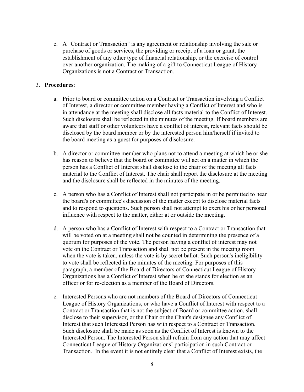e. A "Contract or Transaction" is any agreement or relationship involving the sale or purchase of goods or services, the providing or receipt of a loan or grant, the establishment of any other type of financial relationship, or the exercise of control over another organization. The making of a gift to Connecticut League of History Organizations is not a Contract or Transaction.

#### 3. **Procedures**:

- a. Prior to board or committee action on a Contract or Transaction involving a Conflict of Interest, a director or committee member having a Conflict of Interest and who is in attendance at the meeting shall disclose all facts material to the Conflict of Interest. Such disclosure shall be reflected in the minutes of the meeting. If board members are aware that staff or other volunteers have a conflict of interest, relevant facts should be disclosed by the board member or by the interested person him/herself if invited to the board meeting as a guest for purposes of disclosure.
- b. A director or committee member who plans not to attend a meeting at which he or she has reason to believe that the board or committee will act on a matter in which the person has a Conflict of Interest shall disclose to the chair of the meeting all facts material to the Conflict of Interest. The chair shall report the disclosure at the meeting and the disclosure shall be reflected in the minutes of the meeting.
- c. A person who has a Conflict of Interest shall not participate in or be permitted to hear the board's or committee's discussion of the matter except to disclose material facts and to respond to questions. Such person shall not attempt to exert his or her personal influence with respect to the matter, either at or outside the meeting.
- d. A person who has a Conflict of Interest with respect to a Contract or Transaction that will be voted on at a meeting shall not be counted in determining the presence of a quorum for purposes of the vote. The person having a conflict of interest may not vote on the Contract or Transaction and shall not be present in the meeting room when the vote is taken, unless the vote is by secret ballot. Such person's ineligibility to vote shall be reflected in the minutes of the meeting. For purposes of this paragraph, a member of the Board of Directors of Connecticut League of History Organizations has a Conflict of Interest when he or she stands for election as an officer or for re-election as a member of the Board of Directors.
- e. Interested Persons who are not members of the Board of Directors of Connecticut League of History Organizations, or who have a Conflict of Interest with respect to a Contract or Transaction that is not the subject of Board or committee action, shall disclose to their supervisor, or the Chair or the Chair's designee any Conflict of Interest that such Interested Person has with respect to a Contract or Transaction. Such disclosure shall be made as soon as the Conflict of Interest is known to the Interested Person. The Interested Person shall refrain from any action that may affect Connecticut League of History Organizations' participation in such Contract or Transaction. In the event it is not entirely clear that a Conflict of Interest exists, the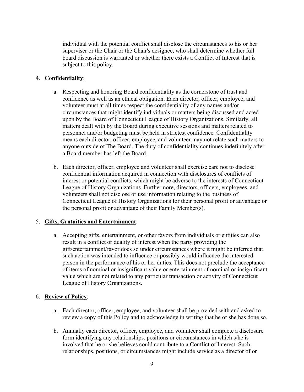individual with the potential conflict shall disclose the circumstances to his or her superviser or the Chair or the Chair's designee, who shall determine whether full board discussion is warranted or whether there exists a Conflict of Interest that is subject to this policy.

#### 4. **Confidentiality**:

- a. Respecting and honoring Board confidentiality as the cornerstone of trust and confidence as well as an ethical obligation. Each director, officer, employee, and volunteer must at all times respect the confidentiality of any names and/or circumstances that might identify individuals or matters being discussed and acted upon by the Board of Connecticut League of History Organizations. Similarly, all matters dealt with by the Board during executive sessions and matters related to personnel and/or budgeting must be held in strictest confidence. Confidentiality means each director, officer, employee, and volunteer may not relate such matters to anyone outside of The Board. The duty of confidentiality continues indefinitely after a Board member has left the Board.
- b. Each director, officer, employee and volunteer shall exercise care not to disclose confidential information acquired in connection with disclosures of conflicts of interest or potential conflicts, which might be adverse to the interests of Connecticut League of History Organizations. Furthermore, directors, officers, employees, and volunteers shall not disclose or use information relating to the business of Connecticut League of History Organizations for their personal profit or advantage or the personal profit or advantage of their Family Member(s).

## 5. **Gifts, Gratuities and Entertainment**:

a. Accepting gifts, entertainment, or other favors from individuals or entities can also result in a conflict or duality of interest when the party providing the gift/entertainment/favor does so under circumstances where it might be inferred that such action was intended to influence or possibly would influence the interested person in the performance of his or her duties. This does not preclude the acceptance of items of nominal or insignificant value or entertainment of nominal or insignificant value which are not related to any particular transaction or activity of Connecticut League of History Organizations.

#### 6. **Review of Policy**:

- a. Each director, officer, employee, and volunteer shall be provided with and asked to review a copy of this Policy and to acknowledge in writing that he or she has done so.
- b. Annually each director, officer, employee, and volunteer shall complete a disclosure form identifying any relationships, positions or circumstances in which s/he is involved that he or she believes could contribute to a Conflict of Interest. Such relationships, positions, or circumstances might include service as a director of or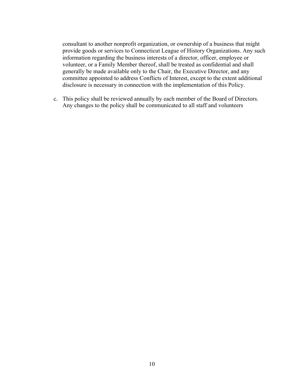consultant to another nonprofit organization, or ownership of a business that might provide goods or services to Connecticut League of History Organizations. Any such information regarding the business interests of a director, officer, employee or volunteer, or a Family Member thereof, shall be treated as confidential and shall generally be made available only to the Chair, the Executive Director, and any committee appointed to address Conflicts of Interest, except to the extent additional disclosure is necessary in connection with the implementation of this Policy.

c. This policy shall be reviewed annually by each member of the Board of Directors. Any changes to the policy shall be communicated to all staff and volunteers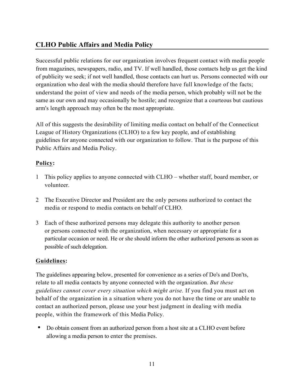# **CLHO Public Affairs and Media Policy**

Successful public relations for our organization involves frequent contact with media people from magazines, newspapers, radio, and TV. If well handled, those contacts help us get the kind of publicity we seek; if not well handled, those contacts can hurt us. Persons connected with our organization who deal with the media should therefore have full knowledge of the facts; understand the point of view and needs of the media person, which probably will not be the same as our own and may occasionally be hostile; and recognize that a courteous but cautious arm's length approach may often be the most appropriate.

All of this suggests the desirability of limiting media contact on behalf of the Connecticut League of History Organizations (CLHO) to a few key people, and of establishing guidelines for anyone connected with our organization to follow. That is the purpose of this Public Affairs and Media Policy.

## **Policy:**

- 1 This policy applies to anyone connected with CLHO whether staff, board member, or volunteer.
- 2 The Executive Director and President are the only persons authorized to contact the media or respond to media contacts on behalf of CLHO.
- 3 Each of these authorized persons may delegate this authority to another person or persons connected with the organization, when necessary or appropriate for a particular occasion or need. He or she should inform the other authorized persons as soon as possible of such delegation.

## **Guidelines:**

The guidelines appearing below, presented for convenience as a series of Do's and Don'ts, relate to all media contacts by anyone connected with the organization. *But these guidelines cannot cover every situation which might arise.* If you find you must act on behalf of the organization in a situation where you do not have the time or are unable to contact an authorized person, please use your best judgment in dealing with media people, within the framework of this Media Policy.

• Do obtain consent from an authorized person from a host site at a CLHO event before allowing a media person to enter the premises.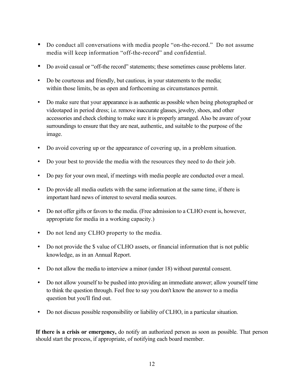- Do conduct all conversations with media people "on-the-record." Do not assume media will keep information "off-the-record" and confidential.
- Do avoid casual or "off-the record" statements; these sometimes cause problems later.
- Do be courteous and friendly, but cautious, in your statements to the media; within those limits, be as open and forthcoming as circumstances permit.
- Do make sure that your appearance is as authentic as possible when being photographed or videotaped in period dress; i.e. remove inaccurate glasses, jewelry, shoes, and other accessories and check clothing to make sure it is properly arranged. Also be aware of your surroundings to ensure that they are neat, authentic, and suitable to the purpose of the image.
- Do avoid covering up or the appearance of covering up, in a problem situation.
- Do your best to provide the media with the resources they need to do their job.
- Do pay for your own meal, if meetings with media people are conducted over a meal.
- Do provide all media outlets with the same information at the same time, if there is important hard news of interest to several media sources.
- Do not offer gifts or favors to the media. (Free admission to a CLHO event is, however, appropriate for media in a working capacity.)
- Do not lend any CLHO property to the media.
- Do not provide the \$ value of CLHO assets, or financial information that is not public knowledge, as in an Annual Report.
- Do not allow the media to interview a minor (under 18) without parental consent.
- Do not allow yourself to be pushed into providing an immediate answer; allow yourself time to think the question through. Feel free to say you don't know the answer to a media question but you'll find out.
- Do not discuss possible responsibility or liability of CLHO, in a particular situation.

**If there is a crisis or emergency,** do notify an authorized person as soon as possible. That person should start the process, if appropriate, of notifying each board member.